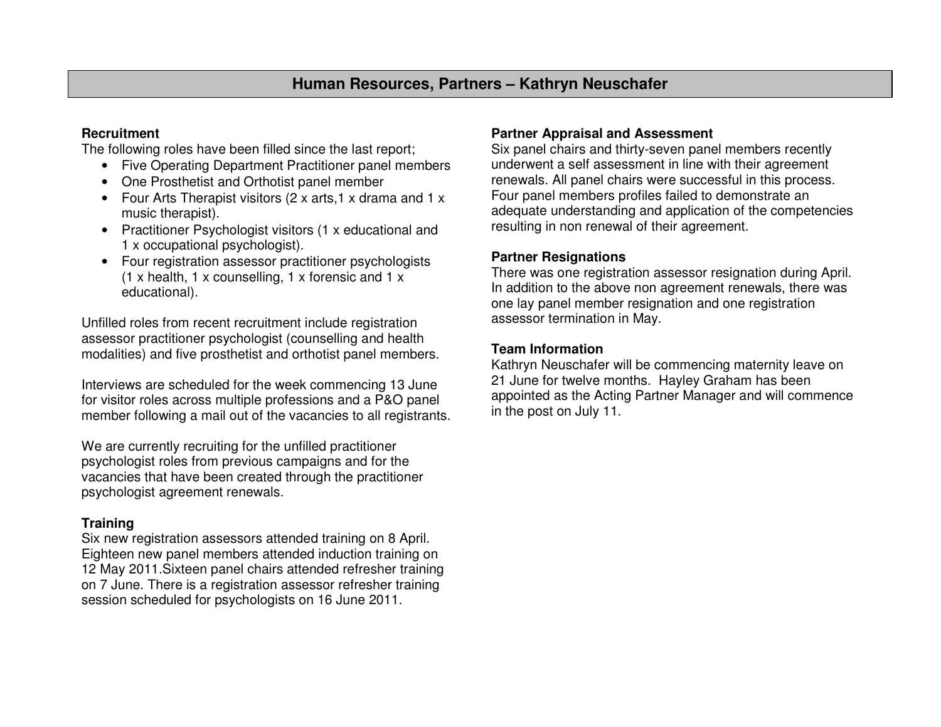# **Human Resources, Partners – Kathryn Neuschafer**

## **Recruitment**

The following roles have been filled since the last report;

- Five Operating Department Practitioner panel members
- One Prosthetist and Orthotist panel member
- Four Arts Therapist visitors (2 x arts,1 x drama and 1 x music therapist).
- Practitioner Psychologist visitors (1 x educational and 1 x occupational psychologist).
- Four registration assessor practitioner psychologists (1 x health, 1 x counselling, 1 x forensic and 1 x educational).

Unfilled roles from recent recruitment include registration assessor practitioner psychologist (counselling and health modalities) and five prosthetist and orthotist panel members.

Interviews are scheduled for the week commencing 13 June for visitor roles across multiple professions and a P&O panel member following a mail out of the vacancies to all registrants.

We are currently recruiting for the unfilled practitioner psychologist roles from previous campaigns and for the vacancies that have been created through the practitioner psychologist agreement renewals.

### **Training**

 Six new registration assessors attended training on 8 April. Eighteen new panel members attended induction training on 12 May 2011.Sixteen panel chairs attended refresher training on 7 June. There is a registration assessor refresher training session scheduled for psychologists on 16 June 2011.

### **Partner Appraisal and Assessment**

 Six panel chairs and thirty-seven panel members recently underwent a self assessment in line with their agreement renewals. All panel chairs were successful in this process. Four panel members profiles failed to demonstrate an adequate understanding and application of the competencies resulting in non renewal of their agreement.

#### **Partner Resignations**

 There was one registration assessor resignation during April. In addition to the above non agreement renewals, there was one lay panel member resignation and one registration assessor termination in May.

#### **Team Information**

 Kathryn Neuschafer will be commencing maternity leave on 21 June for twelve months. Hayley Graham has been appointed as the Acting Partner Manager and will commence in the post on July 11.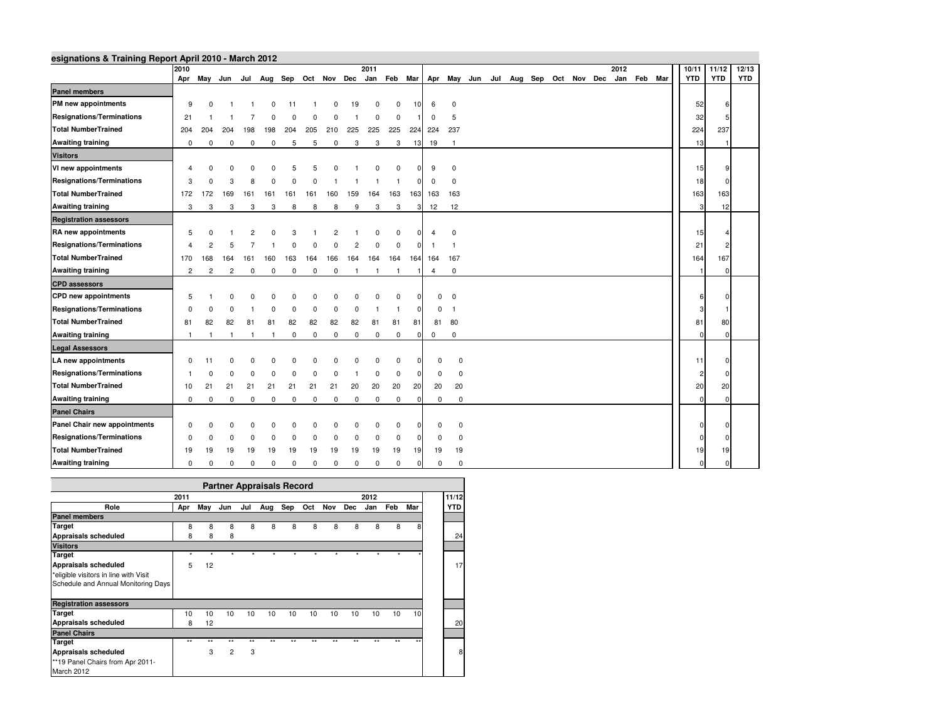| esignations & Training Report April 2010 - March 2012 | 2010           |                |                                                 |              |              |             |             |             |                | 2011     |             |                |                |                |                                     |  |  |  | 2012 |             | 10/11          | 11/12      | 12/13      |
|-------------------------------------------------------|----------------|----------------|-------------------------------------------------|--------------|--------------|-------------|-------------|-------------|----------------|----------|-------------|----------------|----------------|----------------|-------------------------------------|--|--|--|------|-------------|----------------|------------|------------|
|                                                       |                |                | Apr May Jun Jul Aug Sep Oct Nov Dec Jan Feb Mar |              |              |             |             |             |                |          |             |                |                |                | Apr May Jun Jul Aug Sep Oct Nov Dec |  |  |  |      | Jan Feb Mar | <b>YTD</b>     | <b>YTD</b> | <b>YTD</b> |
| <b>Panel members</b>                                  |                |                |                                                 |              |              |             |             |             |                |          |             |                |                |                |                                     |  |  |  |      |             |                |            |            |
| PM new appointments                                   | 9              | $\Omega$       |                                                 |              |              | 11          |             |             | 19             | $\Omega$ | $\Omega$    | 10             | 6              | $\mathbf 0$    |                                     |  |  |  |      |             | 52             |            |            |
| <b>Resignations/Terminations</b>                      | 21             |                |                                                 |              |              |             |             |             |                | $\Omega$ | $\Omega$    |                | $\mathbf 0$    | 5              |                                     |  |  |  |      |             | 32             |            |            |
| <b>Total NumberTrained</b>                            | 204            | 204            | 204                                             | 198          | 198          | 204         | 205         | 210         | 225            | 225      | 225         | 224            | 224            | 237            |                                     |  |  |  |      |             | 224            | 237        |            |
| <b>Awaiting training</b>                              | $\mathbf 0$    | 0              | 0                                               | 0            | $\mathbf 0$  | 5           | 5           | 0           | 3              | 3        | 3           | 13             | 19             | $\overline{1}$ |                                     |  |  |  |      |             | 13             |            |            |
| <b>Visitors</b>                                       |                |                |                                                 |              |              |             |             |             |                |          |             |                |                |                |                                     |  |  |  |      |             |                |            |            |
| VI new appointments                                   |                |                |                                                 |              |              |             |             |             |                |          |             |                | 9              | $\Omega$       |                                     |  |  |  |      |             | 15             |            |            |
| <b>Resignations/Terminations</b>                      | 3              |                | 3                                               |              |              |             |             |             |                |          |             | n              | 0              | $\mathbf 0$    |                                     |  |  |  |      |             | 18             |            |            |
| <b>Total NumberTrained</b>                            | 172            | 172            | 169                                             | 161          | 161          | 161         | 161         | 160         | 159            | 164      | 163         |                | 163 163        | 163            |                                     |  |  |  |      |             | 163            | 163        |            |
| <b>Awaiting training</b>                              | 3              | 3              | 3                                               | 3            | 3            | 8           | 8           | 8           | 9              | 3        | 3           | 3              | 12             | 12             |                                     |  |  |  |      |             | 3              | 12         |            |
| <b>Registration assessors</b>                         |                |                |                                                 |              |              |             |             |             |                |          |             |                |                |                |                                     |  |  |  |      |             |                |            |            |
| RA new appointments                                   | 5              |                |                                                 |              |              |             |             |             |                |          | 0           | $\Omega$       | $\overline{4}$ | $\mathbf 0$    |                                     |  |  |  |      |             | 15             |            |            |
| <b>Resignations/Terminations</b>                      |                |                |                                                 |              |              |             |             |             |                | O        | $\Omega$    |                |                | $\overline{1}$ |                                     |  |  |  |      |             | 21             |            |            |
| <b>Total NumberTrained</b>                            | 170            | 168            | 164                                             | 161          | 160          | 163         | 164         | 166         | 164            | 164      | 164         |                | 164 164        | 167            |                                     |  |  |  |      |             | 164            | 167        |            |
| <b>Awaiting training</b>                              | $\overline{2}$ | $\overline{2}$ | $\overline{2}$                                  | $\mathbf 0$  | $\mathbf 0$  | 0           | 0           | 0           | $\overline{1}$ |          |             |                | $\overline{4}$ | $\mathbf 0$    |                                     |  |  |  |      |             |                |            |            |
| <b>CPD</b> assessors                                  |                |                |                                                 |              |              |             |             |             |                |          |             |                |                |                |                                     |  |  |  |      |             |                |            |            |
| <b>CPD</b> new appointments                           | 5              |                |                                                 |              |              |             |             |             |                |          | 0           |                |                | $0\quad 0$     |                                     |  |  |  |      |             |                |            |            |
| <b>Resignations/Terminations</b>                      | $\Omega$       |                |                                                 |              |              |             |             |             | $\Omega$       |          |             | $\Omega$       | $\mathbf{0}$   | $\overline{1}$ |                                     |  |  |  |      |             |                |            |            |
| <b>Total NumberTrained</b>                            | 81             | 82             | 82                                              | 81           | 81           | 82          | 82          | 82          | 82             | 81       | 81          | 81             | 81             | 80             |                                     |  |  |  |      |             | 81             | 80         |            |
| <b>Awaiting training</b>                              | $\mathbf{1}$   | $\mathbf{1}$   | $\overline{1}$                                  | $\mathbf{1}$ | $\mathbf{1}$ | 0           | 0           | 0           | 0              | 0        | $\mathbf 0$ | $\overline{0}$ | $\mathbf 0$    | $\mathbf 0$    |                                     |  |  |  |      |             | $\Omega$       |            |            |
| <b>Legal Assessors</b>                                |                |                |                                                 |              |              |             |             |             |                |          |             |                |                |                |                                     |  |  |  |      |             |                |            |            |
| LA new appointments                                   | $\Omega$       | 11             |                                                 |              |              |             |             |             |                |          | $\Omega$    |                | $\Omega$       | $\mathbf 0$    |                                     |  |  |  |      |             | 11             |            |            |
| <b>Resignations/Terminations</b>                      |                |                |                                                 |              |              |             |             |             |                | $\Omega$ | $\mathbf 0$ | 0              | 0              | $\mathbf 0$    |                                     |  |  |  |      |             | $\overline{2}$ |            |            |
| <b>Total NumberTrained</b>                            | 10             | 21             | 21                                              | 21           | 21           | 21          | 21          | 21          | 20             | 20       | 20          | 20             | 20             | 20             |                                     |  |  |  |      |             | 20             | 20         |            |
| <b>Awaiting training</b>                              | $\mathbf 0$    | $\Omega$       | $\mathbf 0$                                     | $\mathbf 0$  | $\mathbf 0$  | 0           | $^{\circ}$  | $\mathbf 0$ | $\mathbf 0$    | 0        | $\mathbf 0$ |                | 0              | $\mathbf 0$    |                                     |  |  |  |      |             | $\Omega$       | ſ          |            |
| <b>Panel Chairs</b>                                   |                |                |                                                 |              |              |             |             |             |                |          |             |                |                |                |                                     |  |  |  |      |             |                |            |            |
| Panel Chair new appointments                          | $\Omega$       |                |                                                 |              |              |             |             |             |                |          | $\Omega$    | $\Omega$       | 0              | 0              |                                     |  |  |  |      |             | n              |            |            |
| <b>Resignations/Terminations</b>                      | $\Omega$       |                |                                                 |              |              |             |             |             | n              | $\Omega$ | $\mathbf 0$ | n              | 0              | $\mathbf 0$    |                                     |  |  |  |      |             | n              |            |            |
| <b>Total NumberTrained</b>                            | 19             | 19             | 19                                              | 19           | 19           | 19          | 19          | 19          | 19             | 19       | 19          | 19             | 19             | 19             |                                     |  |  |  |      |             | 19             | 19         |            |
| <b>Awaiting training</b>                              | $\mathbf 0$    | $\Omega$       | $\Omega$                                        | $\mathbf 0$  | $\mathbf 0$  | $\mathbf 0$ | $\mathbf 0$ | $\mathbf 0$ | $\mathbf 0$    | $\Omega$ | $\Omega$    | $\Omega$       | $\mathbf 0$    | $\mathbf 0$    |                                     |  |  |  |      |             |                |            |            |

|                                       |              |              |                |              | <b>Partner Appraisals Record</b> |              |              |              |              |      |      |              |            |  |  |
|---------------------------------------|--------------|--------------|----------------|--------------|----------------------------------|--------------|--------------|--------------|--------------|------|------|--------------|------------|--|--|
|                                       | 2011<br>2012 |              |                |              |                                  |              |              |              |              |      |      |              |            |  |  |
| Role                                  | Apr          | May          | Jun            | Jul          | Aug                              | Sep          | Oct          | Nov          | <b>Dec</b>   | Jan  | Feb  | Mar          | <b>YTD</b> |  |  |
| <b>Panel members</b>                  |              |              |                |              |                                  |              |              |              |              |      |      |              |            |  |  |
| Target                                | 8            | 8            | 8              | 8            | 8                                | 8            | 8            | 8            | 8            | 8    | 8    | 8            |            |  |  |
| Appraisals scheduled                  | 8            | 8            | 8              |              |                                  |              |              |              |              |      |      |              | 24         |  |  |
| <b>Visitors</b>                       |              |              |                |              |                                  |              |              |              |              |      |      |              |            |  |  |
| <b>Target</b>                         | $\star$      | ٠            | $\star$        | $\star$      | $\star$                          | ÷            | ٠            | ٠            | ٠            | ٠    |      |              |            |  |  |
| Appraisals scheduled                  | 5            | 12           |                |              |                                  |              |              |              |              |      |      |              | 17         |  |  |
| *eligible visitors in line with Visit |              |              |                |              |                                  |              |              |              |              |      |      |              |            |  |  |
| Schedule and Annual Monitoring Days   |              |              |                |              |                                  |              |              |              |              |      |      |              |            |  |  |
| <b>Registration assessors</b>         |              |              |                |              |                                  |              |              |              |              |      |      |              |            |  |  |
| <b>Target</b>                         | 10           | 10           | 10             | 10           | 10                               | 10           | 10           | 10           | 10           | 10   | 10   | 10           |            |  |  |
| Appraisals scheduled                  | 8            | 12           |                |              |                                  |              |              |              |              |      |      |              | 20         |  |  |
| <b>Panel Chairs</b>                   |              |              |                |              |                                  |              |              |              |              |      |      |              |            |  |  |
| <b>Target</b>                         | $\star\star$ | $\star\star$ | $**$           | $\star\star$ | $\star\star$                     | $\star\star$ | $\star\star$ | $\star\star$ | $\star\star$ | $**$ | $**$ | $\star\star$ |            |  |  |
| Appraisals scheduled                  |              | 3            | $\overline{2}$ | 3            |                                  |              |              |              |              |      |      |              | 8          |  |  |
| **19 Panel Chairs from Apr 2011-      |              |              |                |              |                                  |              |              |              |              |      |      |              |            |  |  |
| March 2012                            |              |              |                |              |                                  |              |              |              |              |      |      |              |            |  |  |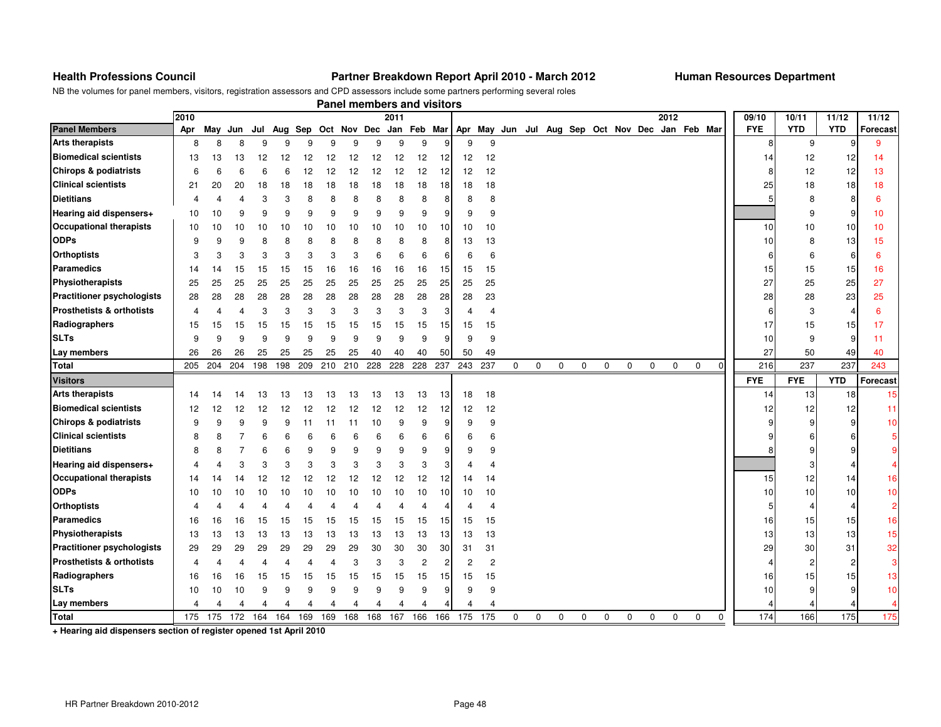#### **Health Professions Council Partner Breakdown Report April 2010 - March 2012 Human Resources Department**

NB the volumes for panel members, visitors, registration assessors and CPD assessors include some partners performing several roles

|                                      |                |     |                |     |     |     |     | Panel members and visitors |     |      |                |                 |                       |                                                                                             |   |             |             |             |             |             |             |             |             |             |            |                |            |                 |
|--------------------------------------|----------------|-----|----------------|-----|-----|-----|-----|----------------------------|-----|------|----------------|-----------------|-----------------------|---------------------------------------------------------------------------------------------|---|-------------|-------------|-------------|-------------|-------------|-------------|-------------|-------------|-------------|------------|----------------|------------|-----------------|
|                                      | 2010           |     |                |     |     |     |     |                            |     | 2011 |                |                 |                       |                                                                                             |   |             |             |             |             |             |             | 2012        |             |             | 09/10      | 10/11          | 11/12      | 11/12           |
| <b>Panel Members</b>                 | Apr            |     |                |     |     |     |     |                            |     |      |                |                 |                       | May Jun Jul Aug Sep Oct Nov Dec Jan Feb Mar Apr May Jun Jul Aug Sep Oct Nov Dec Jan Feb Mar |   |             |             |             |             |             |             |             |             |             | <b>FYE</b> | <b>YTD</b>     | <b>YTD</b> | <b>Forecast</b> |
| <b>Arts therapists</b>               | 8              | 8   | 8              | 9   | 9   | 9   | 9   | 9                          | 9   | 9    | 9              | 9               | 9                     | 9                                                                                           |   |             |             |             |             |             |             |             |             |             | 8          | 9              | g          | 9               |
| <b>Biomedical scientists</b>         | 13             | 13  | 13             | 12  | 12  | 12  | 12  | 12                         | 12  | 12   | 12             | 12 <sup>1</sup> | 12                    | 12                                                                                          |   |             |             |             |             |             |             |             |             |             | 14         | 12             | 12         | 14              |
| Chirops & podiatrists                | 6              | 6   | 6              | 6   | 6   | 12  | 12  | 12                         | 12  | 12   | 12             | 12              | 12                    | 12                                                                                          |   |             |             |             |             |             |             |             |             |             |            | 12             | 12         | 13              |
| <b>Clinical scientists</b>           | 21             | 20  | 20             | 18  | 18  | 18  | 18  | 18                         | 18  | 18   | 18             | 18              | 18                    | 18                                                                                          |   |             |             |             |             |             |             |             |             |             | 25         | 18             | 18         | 18              |
| <b>Dietitians</b>                    | 4              | 4   | $\overline{4}$ | 3   | 3   | 8   | 8   | 8                          | 8   | 8    | 8              | 8               | 8                     | 8                                                                                           |   |             |             |             |             |             |             |             |             |             |            | 8              | 8          | 6               |
| Hearing aid dispensers+              | 10             | 10  | 9              | 9   | 9   | 9   | 9   | 9                          | 9   | 9    | 9              | 9               | 9                     | 9                                                                                           |   |             |             |             |             |             |             |             |             |             |            | 9              | 9          | 10              |
| <b>Occupational therapists</b>       | 10             | 10  | 10             | 10  | 10  | 10  | 10  | 10                         | 10  | 10   | 10             | 10              | 10                    | 10                                                                                          |   |             |             |             |             |             |             |             |             |             | 10         | 10             | 10         | 10              |
| <b>ODPs</b>                          | 9              | 9   | 9              | 8   | 8   | 8   | 8   | 8                          | 8   | 8    | 8              | 8               | 13                    | 13                                                                                          |   |             |             |             |             |             |             |             |             |             | 10         | 8              | 13         | 15              |
| <b>Orthoptists</b>                   | 3              | 3   | 3              | 3   | 3   | 3   | 3   | 3                          | 6   | 6    | 6              | 6               | 6                     | 6                                                                                           |   |             |             |             |             |             |             |             |             |             |            | 6              | 6          | 6               |
| Paramedics                           | 14             | 14  | 15             | 15  | 15  | 15  | 16  | 16                         | 16  | 16   | 16             | 15 <sub>l</sub> | 15                    | 15                                                                                          |   |             |             |             |             |             |             |             |             |             | 15         | 15             | 15         | 16              |
| Physiotherapists                     | 25             | 25  | 25             | 25  | 25  | 25  | 25  | 25                         | 25  | 25   | 25             | 25              | 25                    | 25                                                                                          |   |             |             |             |             |             |             |             |             |             | 27         | 25             | 25         | 27              |
| <b>Practitioner psychologists</b>    | 28             | 28  | 28             | 28  | 28  | 28  | 28  | 28                         | 28  | 28   | 28             | 28              | 28                    | 23                                                                                          |   |             |             |             |             |             |             |             |             |             | 28         | 28             | 23         | 25              |
| <b>Prosthetists &amp; orthotists</b> | $\overline{4}$ | 4   | $\overline{4}$ | 3   | 3   | 3   | 3   | 3                          | 3   | 3    | 3              | 3               | 4                     | 4                                                                                           |   |             |             |             |             |             |             |             |             |             |            | 3              | 4          | 6               |
| Radiographers                        | 15             | 15  | 15             | 15  | 15  | 15  | 15  | 15                         | 15  | 15   | 15             | 15              | 15                    | 15                                                                                          |   |             |             |             |             |             |             |             |             |             | 17         | 15             | 15         | 17              |
| <b>SLTs</b>                          | 9              | 9   | 9              | 9   | 9   | 9   | 9   | 9                          | 9   | 9    | 9              | 9               | 9                     | 9                                                                                           |   |             |             |             |             |             |             |             |             |             | 10         | 9              | 9          | 11              |
| Lay members                          | 26             | 26  | 26             | 25  | 25  | 25  | 25  | 25                         | 40  | 40   | 40             | 50              | 50                    | 49                                                                                          |   |             |             |             |             |             |             |             |             |             | 27         | 50             | 49         | 40              |
| <b>Total</b>                         | 205            | 204 | 204            | 198 | 198 | 209 | 210 | 210                        | 228 | 228  | 228            | 237             | 243                   | 237                                                                                         | 0 | 0           | $\mathbf 0$ | $\mathbf 0$ | $\mathbf 0$ | $\mathbf 0$ | $\mathbf 0$ | $\mathbf 0$ | $\mathbf 0$ | $\Omega$    | 216        | 237            | 237        | 243             |
| <b>Visitors</b>                      |                |     |                |     |     |     |     |                            |     |      |                |                 |                       |                                                                                             |   |             |             |             |             |             |             |             |             |             | <b>FYE</b> | <b>FYE</b>     | <b>YTD</b> | Forecast        |
| <b>Arts therapists</b>               | 14             | 14  | 14             | 13  | 13  | 13  | 13  | 13                         | 13  | 13   | 13             | 13              | 18                    | 18                                                                                          |   |             |             |             |             |             |             |             |             |             | 14         | 13             | 18         | 15              |
| <b>Biomedical scientists</b>         | 12             | 12  | 12             | 12  | 12  | 12  | 12  | 12                         | 12  | 12   | 12             | 12              | 12                    | 12                                                                                          |   |             |             |             |             |             |             |             |             |             | 12         | 12             | 12         | 11              |
| <b>Chirops &amp; podiatrists</b>     | 9              | 9   | 9              | 9   | 9   | 11  | 11  | 11                         | 10  | 9    | 9              | 9               | 9                     | 9                                                                                           |   |             |             |             |             |             |             |             |             |             |            | 9              | 9          | 10              |
| <b>Clinical scientists</b>           | 8              | 8   | 7              | 6   | 6   | 6   | 6   | 6                          | 6   | 6    | 6              | 6               | 6                     | 6                                                                                           |   |             |             |             |             |             |             |             |             |             |            |                |            | 5               |
| <b>Dietitians</b>                    | 8              | 8   | 7              | 6   | 6   | 9   | 9   | 9                          | 9   | 9    | 9              | 9               | 9                     | 9                                                                                           |   |             |             |             |             |             |             |             |             |             |            |                |            | 9               |
| Hearing aid dispensers+              | 4              | Δ   | 3              | 3   | 3   | 3   | 3   | 3                          | 3   | 3    | 3              | 3               | $\boldsymbol{\Delta}$ | $\overline{4}$                                                                              |   |             |             |             |             |             |             |             |             |             |            |                |            | $\overline{4}$  |
| <b>Occupational therapists</b>       | 14             | 14  | 14             | 12  | 12  | 12  | 12  | 12                         | 12  | 12   | 12             | 12              | 14                    | 14                                                                                          |   |             |             |             |             |             |             |             |             |             | 15         | 12             | 14         | 16              |
| <b>ODPs</b>                          | 10             | 10  | 10             | 10  | 10  | 10  | 10  | 10                         | 10  | 10   | 10             | 10 <sup>1</sup> | 10                    | 10                                                                                          |   |             |             |             |             |             |             |             |             |             | 10         | 10             | 10         | 10              |
| <b>Orthoptists</b>                   | Δ              |     |                |     |     |     |     |                            | Δ   | Δ    | 4              | 4               | 4                     | $\overline{4}$                                                                              |   |             |             |             |             |             |             |             |             |             |            |                | 4          | $\overline{2}$  |
| <b>Paramedics</b>                    | 16             | 16  | 16             | 15  | 15  | 15  | 15  | 15                         | 15  | 15   | 15             | 15 <sub>l</sub> | 15                    | 15                                                                                          |   |             |             |             |             |             |             |             |             |             | 16         | 15             | 15         | 16              |
| Physiotherapists                     | 13             | 13  | 13             | 13  | 13  | 13  | 13  | 13                         | 13  | 13   | 13             | 13              | 13                    | 13                                                                                          |   |             |             |             |             |             |             |             |             |             | 13         | 13             | 13         | 15              |
| <b>Practitioner psychologists</b>    | 29             | 29  | 29             | 29  | 29  | 29  | 29  | 29                         | 30  | 30   | 30             | 30              | 31                    | 31                                                                                          |   |             |             |             |             |             |             |             |             |             | 29         | 30             | 31         | 32              |
| <b>Prosthetists &amp; orthotists</b> | $\overline{4}$ | 4   | 4              | 4   | 4   | 4   | 4   | 3                          | 3   | 3    | $\overline{c}$ | $2 \vert$       | $\overline{2}$        | $\overline{c}$                                                                              |   |             |             |             |             |             |             |             |             |             |            | $\overline{c}$ | 2          | 3               |
| Radiographers                        | 16             | 16  | 16             | 15  | 15  | 15  | 15  | 15                         | 15  | 15   | 15             | 15              | 15                    | 15                                                                                          |   |             |             |             |             |             |             |             |             |             | 16         | 15             | 15         | 13              |
| <b>SLTs</b>                          | 10             | 10  | 10             | 9   | 9   | 9   | 9   | 9                          | 9   | 9    | 9              | 9               | 9                     | 9                                                                                           |   |             |             |             |             |             |             |             |             |             | 10         |                | g          | 10              |
| Lay members                          | 4              |     |                |     |     |     |     |                            |     |      |                |                 |                       |                                                                                             |   |             |             |             |             |             |             |             |             |             |            |                |            |                 |
| <b>Total</b>                         | 175            | 175 | 172            | 164 | 164 | 169 | 169 | 168                        | 168 | 167  | 166            |                 |                       | 166 175 175                                                                                 | 0 | $\mathbf 0$ | $\mathbf 0$ | $\mathbf 0$ | $\mathbf 0$ | $\mathbf 0$ | $\mathbf 0$ | $\mathbf 0$ | $\mathbf 0$ | $\mathbf 0$ | 174        | 166            | 175        | 175             |

**+ Hearing aid dispensers section of register opened 1st April 2010**